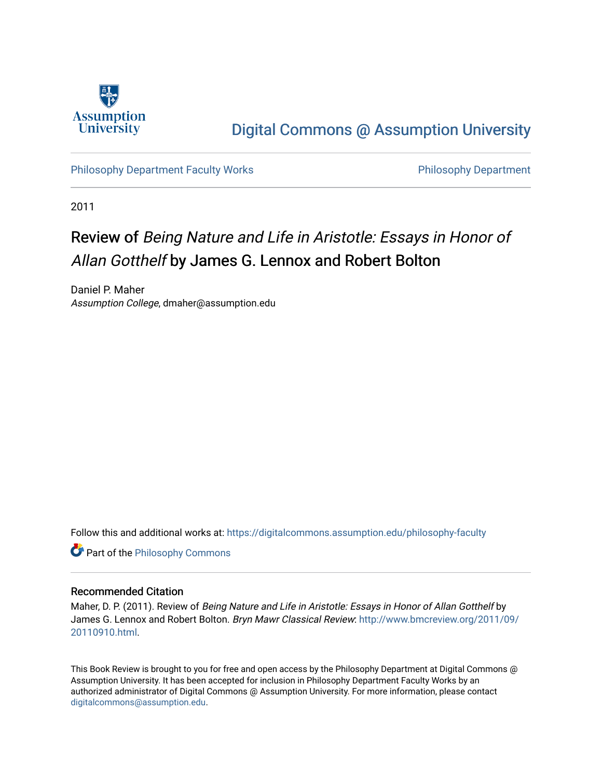

## [Digital Commons @ Assumption University](https://digitalcommons.assumption.edu/)

[Philosophy Department Faculty Works](https://digitalcommons.assumption.edu/philosophy-faculty) **Philosophy Department** Philosophy Department

2011

# Review of Being Nature and Life in Aristotle: Essays in Honor of Allan Gotthelf by James G. Lennox and Robert Bolton

Daniel P. Maher Assumption College, dmaher@assumption.edu

Follow this and additional works at: [https://digitalcommons.assumption.edu/philosophy-faculty](https://digitalcommons.assumption.edu/philosophy-faculty?utm_source=digitalcommons.assumption.edu%2Fphilosophy-faculty%2F19&utm_medium=PDF&utm_campaign=PDFCoverPages) 

**Part of the Philosophy Commons** 

#### Recommended Citation

Maher, D. P. (2011). Review of Being Nature and Life in Aristotle: Essays in Honor of Allan Gotthelf by James G. Lennox and Robert Bolton. Bryn Mawr Classical Review: [http://www.bmcreview.org/2011/09/](http://www.bmcreview.org/2011/09/20110910.html) [20110910.html.](http://www.bmcreview.org/2011/09/20110910.html)

This Book Review is brought to you for free and open access by the Philosophy Department at Digital Commons @ Assumption University. It has been accepted for inclusion in Philosophy Department Faculty Works by an authorized administrator of Digital Commons @ Assumption University. For more information, please contact [digitalcommons@assumption.edu](mailto:digitalcommons@assumption.edu).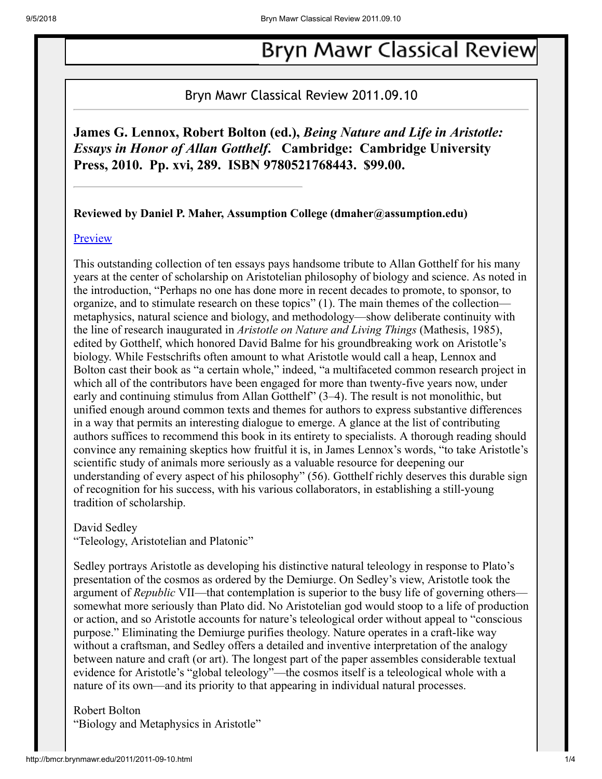# **Bryn Mawr Classical Review**

## Bryn Mawr Classical Review 2011.09.10

**James G. Lennox, Robert Bolton (ed.),** *Being Nature and Life in Aristotle: Essays in Honor of Allan Gotthelf***. Cambridge: Cambridge University Press, 2010. Pp. xvi, 289. ISBN 9780521768443. \$99.00.**

**Reviewed by Daniel P. Maher, Assumption College (dmaher@assumption.edu)**

#### **[Preview](http://books.google.com/books?id=iT0-6-AIV40C)**

This outstanding collection of ten essays pays handsome tribute to Allan Gotthelf for his many years at the center of scholarship on Aristotelian philosophy of biology and science. As noted in the introduction, "Perhaps no one has done more in recent decades to promote, to sponsor, to organize, and to stimulate research on these topics" (1). The main themes of the collection metaphysics, natural science and biology, and methodology—show deliberate continuity with the line of research inaugurated in *Aristotle on Nature and Living Things* (Mathesis, 1985), edited by Gotthelf, which honored David Balme for his groundbreaking work on Aristotle's biology. While Festschrifts often amount to what Aristotle would call a heap, Lennox and Bolton cast their book as "a certain whole," indeed, "a multifaceted common research project in which all of the contributors have been engaged for more than twenty-five years now, under early and continuing stimulus from Allan Gotthelf" (3–4). The result is not monolithic, but unified enough around common texts and themes for authors to express substantive differences in a way that permits an interesting dialogue to emerge. A glance at the list of contributing authors suffices to recommend this book in its entirety to specialists. A thorough reading should convince any remaining skeptics how fruitful it is, in James Lennox's words, "to take Aristotle's scientific study of animals more seriously as a valuable resource for deepening our understanding of every aspect of his philosophy" (56). Gotthelf richly deserves this durable sign of recognition for his success, with his various collaborators, in establishing a still-young tradition of scholarship.

David Sedley

"Teleology, Aristotelian and Platonic"

Sedley portrays Aristotle as developing his distinctive natural teleology in response to Plato's presentation of the cosmos as ordered by the Demiurge. On Sedley's view, Aristotle took the argument of *Republic* VII—that contemplation is superior to the busy life of governing others somewhat more seriously than Plato did. No Aristotelian god would stoop to a life of production or action, and so Aristotle accounts for nature's teleological order without appeal to "conscious purpose." Eliminating the Demiurge purifies theology. Nature operates in a craft-like way without a craftsman, and Sedley offers a detailed and inventive interpretation of the analogy between nature and craft (or art). The longest part of the paper assembles considerable textual evidence for Aristotle's "global teleology"—the cosmos itself is a teleological whole with a nature of its own—and its priority to that appearing in individual natural processes.

### Robert Bolton "Biology and Metaphysics in Aristotle"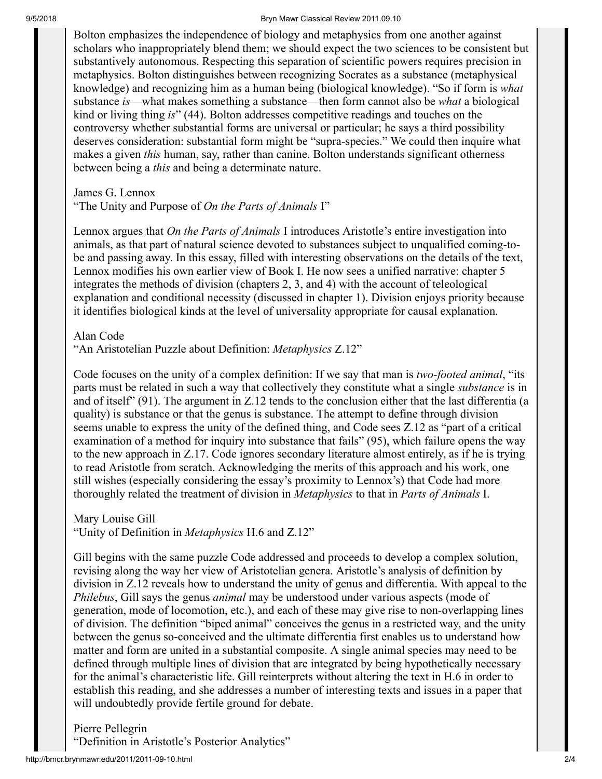#### 9/5/2018 Bryn Mawr Classical Review 2011.09.10

Bolton emphasizes the independence of biology and metaphysics from one another against scholars who inappropriately blend them; we should expect the two sciences to be consistent but substantively autonomous. Respecting this separation of scientific powers requires precision in metaphysics. Bolton distinguishes between recognizing Socrates as a substance (metaphysical knowledge) and recognizing him as a human being (biological knowledge). "So if form is *what* substance *is*—what makes something a substance—then form cannot also be *what* a biological kind or living thing *is*" (44). Bolton addresses competitive readings and touches on the controversy whether substantial forms are universal or particular; he says a third possibility deserves consideration: substantial form might be "supra-species." We could then inquire what makes a given *this* human, say, rather than canine. Bolton understands significant otherness between being a *this* and being a determinate nature.

James G. Lennox

"The Unity and Purpose of *On the Parts of Animals* I"

Lennox argues that *On the Parts of Animals* I introduces Aristotle's entire investigation into animals, as that part of natural science devoted to substances subject to unqualified coming-tobe and passing away. In this essay, filled with interesting observations on the details of the text, Lennox modifies his own earlier view of Book I. He now sees a unified narrative: chapter 5 integrates the methods of division (chapters 2, 3, and 4) with the account of teleological explanation and conditional necessity (discussed in chapter 1). Division enjoys priority because it identifies biological kinds at the level of universality appropriate for causal explanation.

Alan Code

"An Aristotelian Puzzle about Definition: *Metaphysics* Ζ.12"

Code focuses on the unity of a complex definition: If we say that man is *two-footed animal*, "its parts must be related in such a way that collectively they constitute what a single *substance* is in and of itself" (91). The argument in Ζ.12 tends to the conclusion either that the last differentia (a quality) is substance or that the genus is substance. The attempt to define through division seems unable to express the unity of the defined thing, and Code sees Ζ.12 as "part of a critical examination of a method for inquiry into substance that fails" (95), which failure opens the way to the new approach in Ζ.17. Code ignores secondary literature almost entirely, as if he is trying to read Aristotle from scratch. Acknowledging the merits of this approach and his work, one still wishes (especially considering the essay's proximity to Lennox's) that Code had more thoroughly related the treatment of division in *Metaphysics* to that in *Parts of Animals* I.

Mary Louise Gill "Unity of Definition in *Metaphysics* Η.6 and Ζ.12"

Gill begins with the same puzzle Code addressed and proceeds to develop a complex solution, revising along the way her view of Aristotelian genera. Aristotle's analysis of definition by division in Ζ.12 reveals how to understand the unity of genus and differentia. With appeal to the *Philebus*, Gill says the genus *animal* may be understood under various aspects (mode of generation, mode of locomotion, etc.), and each of these may give rise to non-overlapping lines of division. The definition "biped animal" conceives the genus in a restricted way, and the unity between the genus so-conceived and the ultimate differentia first enables us to understand how matter and form are united in a substantial composite. A single animal species may need to be defined through multiple lines of division that are integrated by being hypothetically necessary for the animal's characteristic life. Gill reinterprets without altering the text in Η.6 in order to establish this reading, and she addresses a number of interesting texts and issues in a paper that will undoubtedly provide fertile ground for debate.

Pierre Pellegrin

"Definition in Aristotle's Posterior Analytics"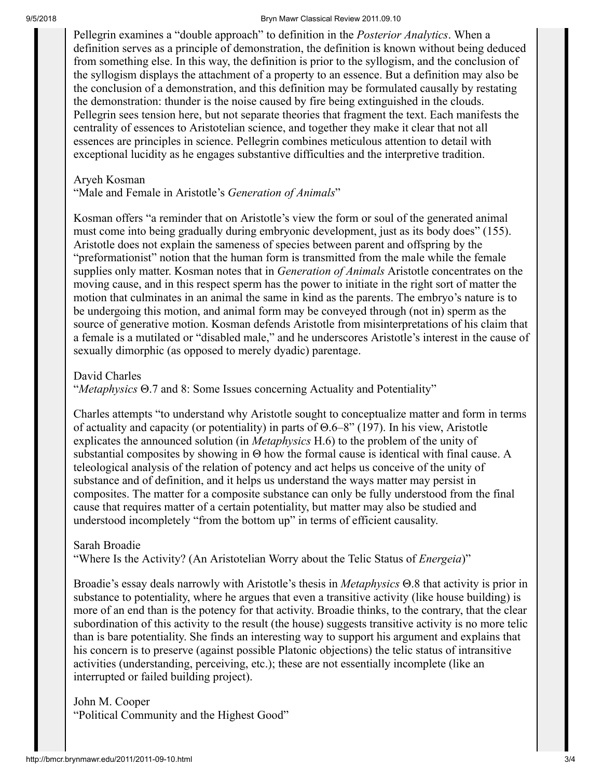#### 9/5/2018 Bryn Mawr Classical Review 2011.09.10

Pellegrin examines a "double approach" to definition in the *Posterior Analytics*. When a definition serves as a principle of demonstration, the definition is known without being deduced from something else. In this way, the definition is prior to the syllogism, and the conclusion of the syllogism displays the attachment of a property to an essence. But a definition may also be the conclusion of a demonstration, and this definition may be formulated causally by restating the demonstration: thunder is the noise caused by fire being extinguished in the clouds. Pellegrin sees tension here, but not separate theories that fragment the text. Each manifests the centrality of essences to Aristotelian science, and together they make it clear that not all essences are principles in science. Pellegrin combines meticulous attention to detail with exceptional lucidity as he engages substantive difficulties and the interpretive tradition.

#### Aryeh Kosman

"Male and Female in Aristotle's *Generation of Animals*"

Kosman offers "a reminder that on Aristotle's view the form or soul of the generated animal must come into being gradually during embryonic development, just as its body does" (155). Aristotle does not explain the sameness of species between parent and offspring by the "preformationist" notion that the human form is transmitted from the male while the female supplies only matter. Kosman notes that in *Generation of Animals* Aristotle concentrates on the moving cause, and in this respect sperm has the power to initiate in the right sort of matter the motion that culminates in an animal the same in kind as the parents. The embryo's nature is to be undergoing this motion, and animal form may be conveyed through (not in) sperm as the source of generative motion. Kosman defends Aristotle from misinterpretations of his claim that a female is a mutilated or "disabled male," and he underscores Aristotle's interest in the cause of sexually dimorphic (as opposed to merely dyadic) parentage.

David Charles

"*Metaphysics* Θ.7 and 8: Some Issues concerning Actuality and Potentiality"

Charles attempts "to understand why Aristotle sought to conceptualize matter and form in terms of actuality and capacity (or potentiality) in parts of Θ.6–8" (197). In his view, Aristotle explicates the announced solution (in *Metaphysics* Η.6) to the problem of the unity of substantial composites by showing in Θ how the formal cause is identical with final cause. A teleological analysis of the relation of potency and act helps us conceive of the unity of substance and of definition, and it helps us understand the ways matter may persist in composites. The matter for a composite substance can only be fully understood from the final cause that requires matter of a certain potentiality, but matter may also be studied and understood incompletely "from the bottom up" in terms of efficient causality.

Sarah Broadie

"Where Is the Activity? (An Aristotelian Worry about the Telic Status of *Energeia*)"

Broadie's essay deals narrowly with Aristotle's thesis in *Metaphysics* Θ.8 that activity is prior in substance to potentiality, where he argues that even a transitive activity (like house building) is more of an end than is the potency for that activity. Broadie thinks, to the contrary, that the clear subordination of this activity to the result (the house) suggests transitive activity is no more telic than is bare potentiality. She finds an interesting way to support his argument and explains that his concern is to preserve (against possible Platonic objections) the telic status of intransitive activities (understanding, perceiving, etc.); these are not essentially incomplete (like an interrupted or failed building project).

John M. Cooper "Political Community and the Highest Good"